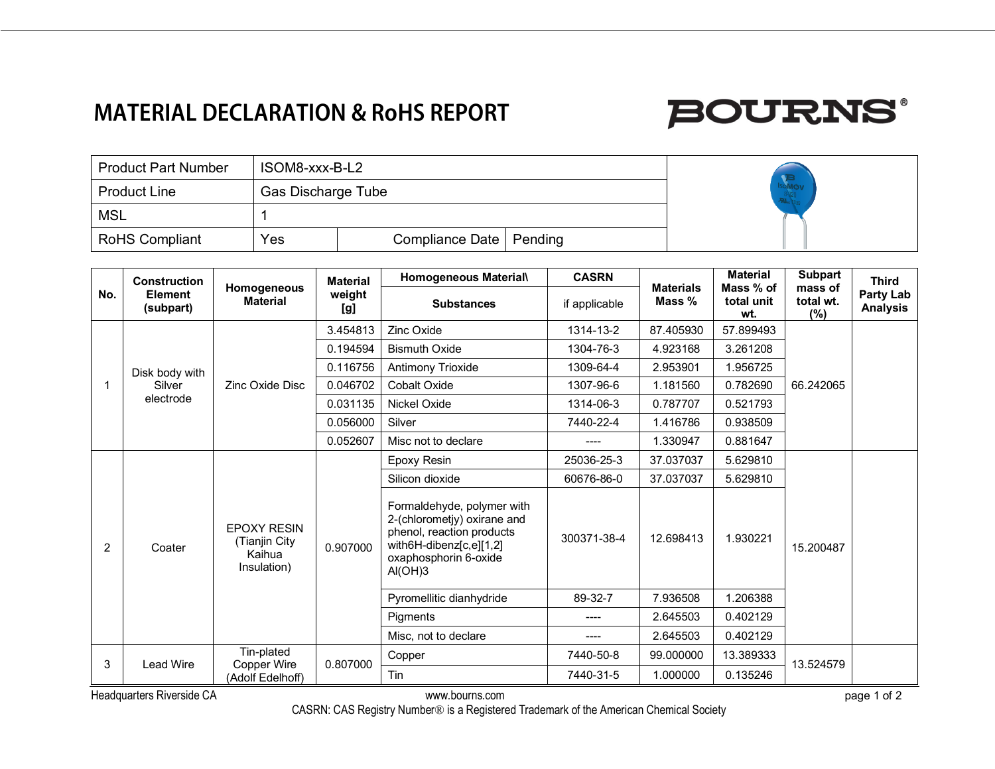### **MATERIAL DECLARATION & RoHS REPORT**

# **BOURNS®**

| <b>Product Part Number</b> | ISOM8-xxx-B-L2            |                           |  |  |
|----------------------------|---------------------------|---------------------------|--|--|
| <b>Product Line</b>        | <b>Gas Discharge Tube</b> |                           |  |  |
| MSL                        |                           |                           |  |  |
| RoHS Compliant             | Yes                       | Compliance Date   Pending |  |  |

| No. | <b>Construction</b><br><b>Element</b><br>(subpart) | Homogeneous<br><b>Material</b>                               | <b>Material</b><br>weight<br>[g]                         | Homogeneous Material\                                                                                                                                 | <b>CASRN</b>  | <b>Materials</b><br>Mass % | <b>Material</b><br>Mass % of<br>total unit<br>wt. | <b>Subpart</b><br>mass of<br>total wt.<br>(%) | <b>Third</b><br>Party Lab<br><b>Analysis</b> |
|-----|----------------------------------------------------|--------------------------------------------------------------|----------------------------------------------------------|-------------------------------------------------------------------------------------------------------------------------------------------------------|---------------|----------------------------|---------------------------------------------------|-----------------------------------------------|----------------------------------------------|
|     |                                                    |                                                              |                                                          | <b>Substances</b>                                                                                                                                     | if applicable |                            |                                                   |                                               |                                              |
|     | Disk body with<br>Silver<br>electrode              | Zinc Oxide Disc                                              | 3.454813<br>0.194594<br>0.116756<br>0.046702<br>0.031135 | Zinc Oxide                                                                                                                                            | 1314-13-2     | 87.405930                  | 57.899493                                         | 66.242065                                     |                                              |
|     |                                                    |                                                              |                                                          | <b>Bismuth Oxide</b>                                                                                                                                  | 1304-76-3     | 4.923168                   | 3.261208                                          |                                               |                                              |
|     |                                                    |                                                              |                                                          | <b>Antimony Trioxide</b>                                                                                                                              | 1309-64-4     | 2.953901                   | 1.956725                                          |                                               |                                              |
|     |                                                    |                                                              |                                                          | <b>Cobalt Oxide</b>                                                                                                                                   | 1307-96-6     | 1.181560                   | 0.782690                                          |                                               |                                              |
|     |                                                    |                                                              |                                                          | Nickel Oxide                                                                                                                                          | 1314-06-3     | 0.787707                   | 0.521793                                          |                                               |                                              |
|     |                                                    |                                                              | 0.056000                                                 | Silver                                                                                                                                                | 7440-22-4     | 1.416786                   | 0.938509                                          |                                               |                                              |
|     |                                                    |                                                              | 0.052607                                                 | Misc not to declare                                                                                                                                   |               | 1.330947                   | 0.881647                                          |                                               |                                              |
|     |                                                    | <b>EPOXY RESIN</b><br>(Tianjin City<br>Kaihua<br>Insulation) | 0.907000                                                 | Epoxy Resin                                                                                                                                           | 25036-25-3    | 37.037037                  | 5.629810                                          | 15.200487                                     |                                              |
|     | Coater                                             |                                                              |                                                          | Silicon dioxide                                                                                                                                       | 60676-86-0    | 37.037037                  | 5.629810                                          |                                               |                                              |
| 2   |                                                    |                                                              |                                                          | Formaldehyde, polymer with<br>2-(chlorometjy) oxirane and<br>phenol, reaction products<br>with6H-dibenz[c,e][1,2]<br>oxaphosphorin 6-oxide<br>AI(OH)3 | 300371-38-4   | 12.698413                  | 1.930221                                          |                                               |                                              |
|     |                                                    |                                                              |                                                          | Pyromellitic dianhydride                                                                                                                              | 89-32-7       | 7.936508                   | 1.206388                                          |                                               |                                              |
|     |                                                    |                                                              |                                                          | <b>Piaments</b>                                                                                                                                       | $---$         | 2.645503                   | 0.402129                                          |                                               |                                              |
|     |                                                    |                                                              |                                                          | Misc, not to declare                                                                                                                                  | $---$         | 2.645503                   | 0.402129                                          |                                               |                                              |
| 3   | <b>Lead Wire</b>                                   | Tin-plated<br>Copper Wire<br>(Adolf Edelhoff)                | 0.807000                                                 | Copper                                                                                                                                                | 7440-50-8     | 99.000000                  | 13.389333                                         | 13.524579                                     |                                              |
|     |                                                    |                                                              |                                                          | Tin                                                                                                                                                   | 7440-31-5     | 1.000000                   | 0.135246                                          |                                               |                                              |
|     | <b>Headquarters Riverside CA</b>                   |                                                              |                                                          | www.bourns.com                                                                                                                                        |               |                            |                                                   |                                               | page 1 of 2                                  |

CASRN: CAS Registry Number® is a Registered Trademark of the American Chemical Society